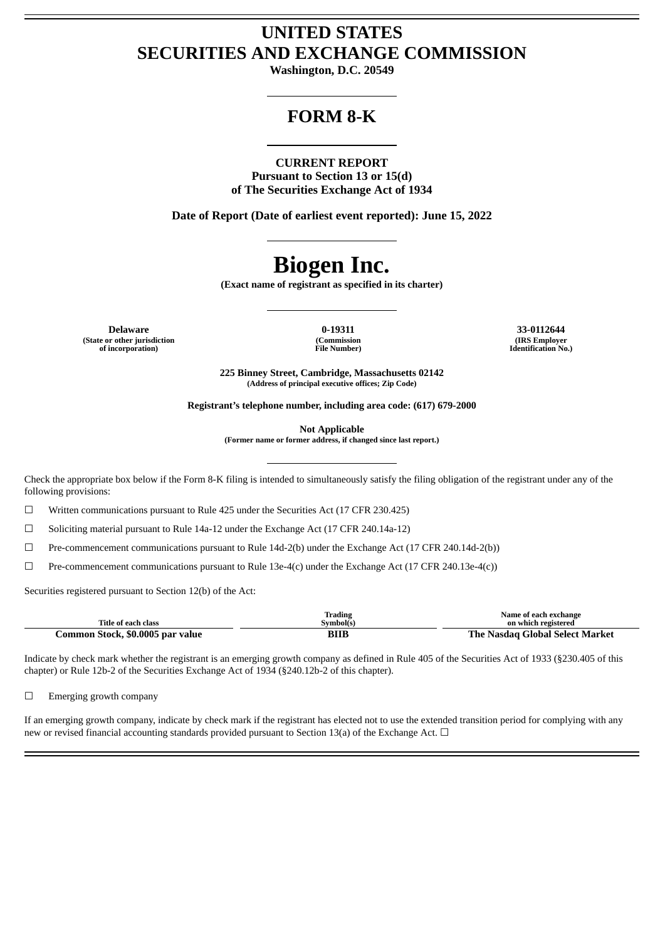## **UNITED STATES SECURITIES AND EXCHANGE COMMISSION**

**Washington, D.C. 20549**

## **FORM 8-K**

#### **CURRENT REPORT**

**Pursuant to Section 13 or 15(d) of The Securities Exchange Act of 1934**

**Date of Report (Date of earliest event reported): June 15, 2022**

# **Biogen Inc.**

**(Exact name of registrant as specified in its charter)**

**Delaware 0-19311 33-0112644 (State or other jurisdiction of incorporation)**

**(Commission File Number)**

**(IRS Employer Identification No.)**

**225 Binney Street, Cambridge, Massachusetts 02142 (Address of principal executive offices; Zip Code)**

**Registrant's telephone number, including area code: (617) 679-2000**

**Not Applicable**

**(Former name or former address, if changed since last report.)**

Check the appropriate box below if the Form 8-K filing is intended to simultaneously satisfy the filing obligation of the registrant under any of the following provisions:

 $\Box$  Written communications pursuant to Rule 425 under the Securities Act (17 CFR 230.425)

 $\Box$  Soliciting material pursuant to Rule 14a-12 under the Exchange Act (17 CFR 240.14a-12)

 $\Box$  Pre-commencement communications pursuant to Rule 14d-2(b) under the Exchange Act (17 CFR 240.14d-2(b))

 $\Box$  Pre-commencement communications pursuant to Rule 13e-4(c) under the Exchange Act (17 CFR 240.13e-4(c))

Securities registered pursuant to Section 12(b) of the Act:

|                                  | Trading   | Name of each exchange           |
|----------------------------------|-----------|---------------------------------|
| Title of each class              | Svmbol(s) | on which registered             |
| Common Stock, \$0.0005 par value | BIIE      | The Nasdag Global Select Market |

Indicate by check mark whether the registrant is an emerging growth company as defined in Rule 405 of the Securities Act of 1933 (§230.405 of this chapter) or Rule 12b-2 of the Securities Exchange Act of 1934 (§240.12b-2 of this chapter).

□ Emerging growth company

If an emerging growth company, indicate by check mark if the registrant has elected not to use the extended transition period for complying with any new or revised financial accounting standards provided pursuant to Section 13(a) of the Exchange Act.  $\Box$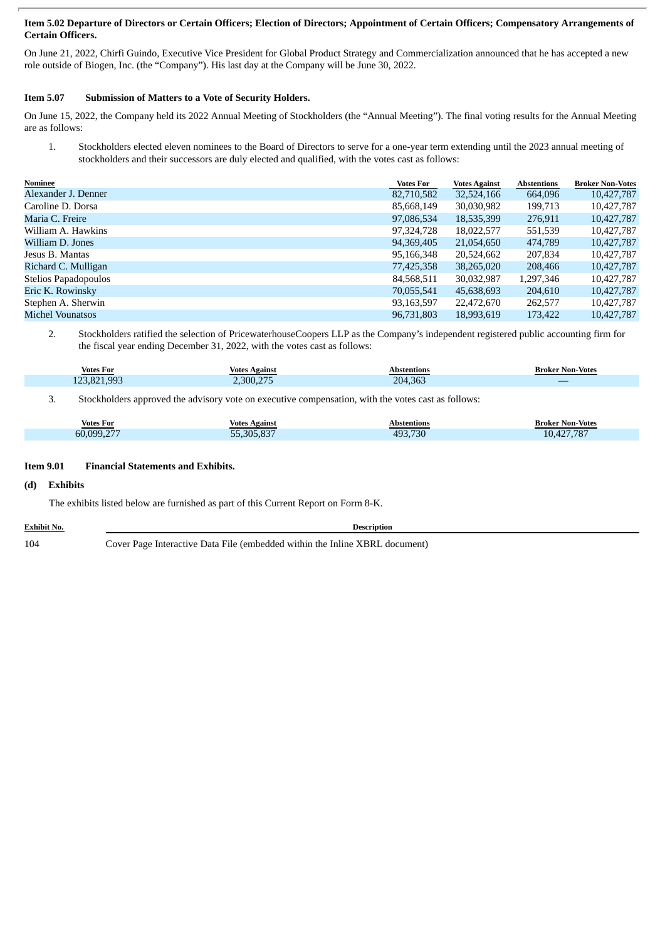#### Item 5.02 Departure of Directors or Certain Officers; Election of Directors; Appointment of Certain Officers; Compensatory Arrangements of **Certain Officers.**

On June 21, 2022, Chirfi Guindo, Executive Vice President for Global Product Strategy and Commercialization announced that he has accepted a new role outside of Biogen, Inc. (the "Company"). His last day at the Company will be June 30, 2022.

#### **Item 5.07 Submission of Matters to a Vote of Security Holders.**

On June 15, 2022, the Company held its 2022 Annual Meeting of Stockholders (the "Annual Meeting"). The final voting results for the Annual Meeting are as follows:

1. Stockholders elected eleven nominees to the Board of Directors to serve for a one-year term extending until the 2023 annual meeting of stockholders and their successors are duly elected and qualified, with the votes cast as follows:

| Nominee              | <b>Votes For</b> | <b>Votes Against</b> | Abstentions | <b>Broker Non-Votes</b> |
|----------------------|------------------|----------------------|-------------|-------------------------|
| Alexander J. Denner  | 82,710,582       | 32,524,166           | 664,096     | 10,427,787              |
| Caroline D. Dorsa    | 85,668,149       | 30,030,982           | 199,713     | 10,427,787              |
| Maria C. Freire      | 97,086,534       | 18,535,399           | 276,911     | 10,427,787              |
| William A. Hawkins   | 97,324,728       | 18,022,577           | 551,539     | 10,427,787              |
| William D. Jones     | 94,369,405       | 21,054,650           | 474.789     | 10,427,787              |
| Jesus B. Mantas      | 95,166,348       | 20,524,662           | 207,834     | 10,427,787              |
| Richard C. Mulligan  | 77,425,358       | 38,265,020           | 208,466     | 10,427,787              |
| Stelios Papadopoulos | 84,568,511       | 30,032,987           | 1,297,346   | 10,427,787              |
| Eric K. Rowinsky     | 70,055,541       | 45,638,693           | 204,610     | 10,427,787              |
| Stephen A. Sherwin   | 93,163,597       | 22,472,670           | 262,577     | 10,427,787              |
| Michel Vounatsos     | 96,731,803       | 18,993,619           | 173,422     | 10.427.787              |

2. Stockholders ratified the selection of PricewaterhouseCoopers LLP as the Company's independent registered public accounting firm for the fiscal year ending December 31, 2022, with the votes cast as follows:

| Votes For                        | Votes<br>Against | Abstentions | <b>Broker Non-Votes</b> |
|----------------------------------|------------------|-------------|-------------------------|
| 821<br><b>QQ3</b><br>$\sim$<br>. | $\sim$ 200 $27$  | 204,363     | _                       |

3. Stockholders approved the advisory vote on executive compensation, with the votes cast as follows:

| Votes For                | Against<br>Votes         | Abstentions                            | <b>Broker Non-Votes</b>                                      |
|--------------------------|--------------------------|----------------------------------------|--------------------------------------------------------------|
| 1099 277<br>$\sim$<br>nu | 20F.027<br>--<br>305.85. | .730<br>AQ <sub>2</sub><br>$+1.1.1.1.$ | 707<br>10 <sub>1</sub><br>10 <sup>1</sup><br>10 <sub>1</sub> |

#### **Item 9.01 Financial Statements and Exhibits.**

#### **(d) Exhibits**

The exhibits listed below are furnished as part of this Current Report on Form 8-K.

**Exhibit No. Description**

104 Cover Page Interactive Data File (embedded within the Inline XBRL document)